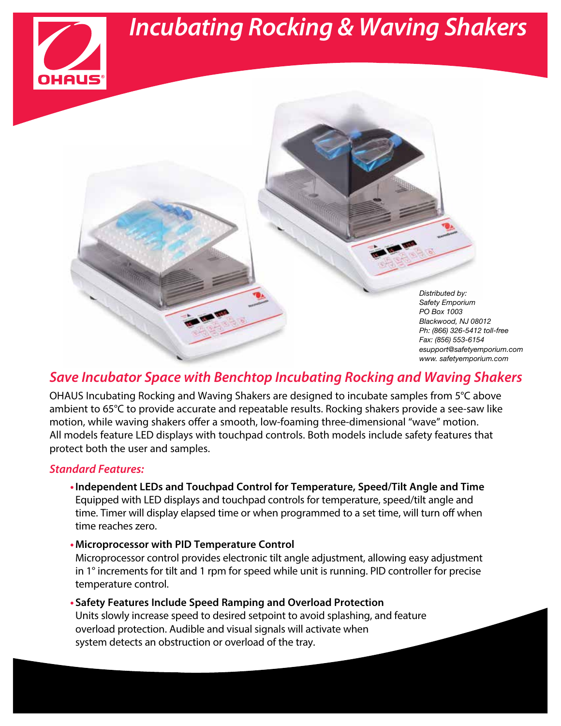## *Incubating Rocking & Waving Shakers*

*Distributed by: Safety Emporium PO Box 1003 Blackwood, NJ 08012 Ph: (866) 326-5412 toll-free Fax: (856) 553-6154 esupport@safetyemporium.com www. safetyemporium.com*

### *Save Incubator Space with Benchtop Incubating Rocking and Waving Shakers*

OHAUS Incubating Rocking and Waving Shakers are designed to incubate samples from 5°C above ambient to 65°C to provide accurate and repeatable results. Rocking shakers provide a see-saw like motion, while waving shakers offer a smooth, low-foaming three-dimensional "wave" motion. All models feature LED displays with touchpad controls. Both models include safety features that protect both the user and samples.

#### *Standard Features:*

- **•Independent LEDs and Touchpad Control for Temperature, Speed/Tilt Angle and Time** Equipped with LED displays and touchpad controls for temperature, speed/tilt angle and time. Timer will display elapsed time or when programmed to a set time, will turn off when time reaches zero.
- **•Microprocessor with PID Temperature Control**

Microprocessor control provides electronic tilt angle adjustment, allowing easy adjustment in 1° increments for tilt and 1 rpm for speed while unit is running. PID controller for precise temperature control.

**• Safety Features Include Speed Ramping and Overload Protection** Units slowly increase speed to desired setpoint to avoid splashing, and feature overload protection. Audible and visual signals will activate when system detects an obstruction or overload of the tray.